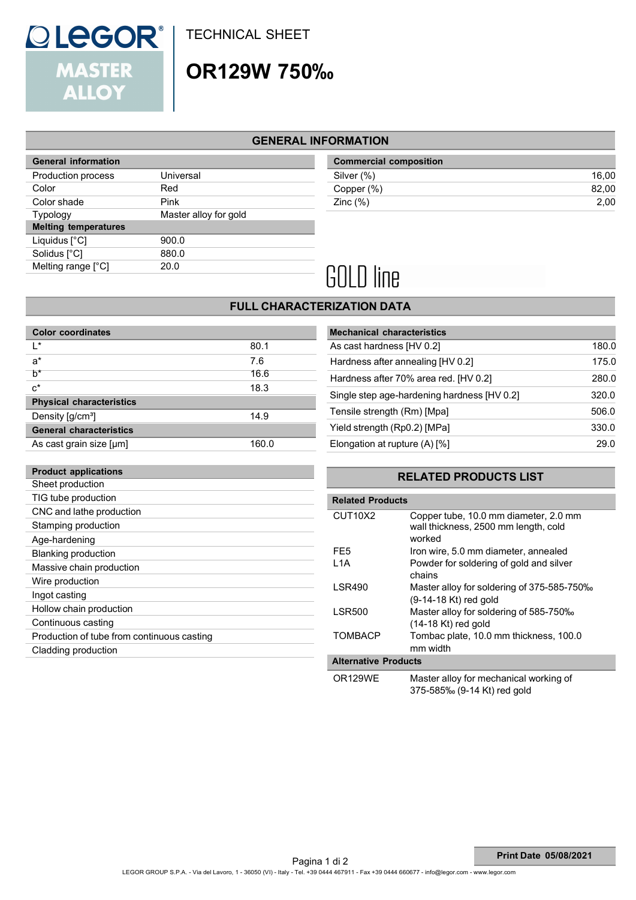### TECHNICAL SHEET

## OR129W 750‰

#### GENERAL INFORMATION

|                       | <b>Commercial composition</b> |
|-----------------------|-------------------------------|
| Universal             | Silver (%)                    |
| Red                   | Copper (%)                    |
| <b>Pink</b>           | Zinc $(\%)$                   |
| Master alloy for gold |                               |
|                       |                               |
| 900.0                 |                               |
| 880.0                 |                               |
| 20.0                  |                               |
|                       |                               |

| <b>General information</b> |           | <b>Commercial composition</b>  |       |
|----------------------------|-----------|--------------------------------|-------|
| Production process         | Universal | Silver (%)                     | 16.00 |
| Color                      | Red       | Copper (%)                     | 82.00 |
| Color shade                | Pink      | $\mathsf{Zinc}\left(\%\right)$ | 2,00  |

# **GOLD** line

#### FULL CHARACTERIZATION DATA

| <b>Color coordinates</b>        |       | <b>Mechanical characteristics</b> |
|---------------------------------|-------|-----------------------------------|
| $\mathsf{I}^*$                  | 80.1  | As cast hardness [HV 0.2]         |
| $a^*$                           | 7.6   | Hardness after annealing [H       |
| $h^*$                           | 16.6  | Hardness after 70% area red       |
| $c^*$                           | 18.3  |                                   |
| <b>Physical characteristics</b> |       | Single step age-hardening h       |
| Density [q/cm <sup>3</sup> ]    | 14.9  | Tensile strength (Rm) [Mpa]       |
| <b>General characteristics</b>  |       | Yield strength (Rp0.2) [MPa]      |
| As cast grain size [µm]         | 160.0 | Elongation at rupture (A) [%]     |

Sheet production TIG tube production CNC and lathe production Stamping production Age-hardening Blanking production Massive chain production

Product applications

**QLEGOR®** 

**ALLOY** 

**MASTER** 

|       | <b>Mechanical characteristics</b> |                                                                                      |
|-------|-----------------------------------|--------------------------------------------------------------------------------------|
| 80.1  | As cast hardness [HV 0.2]         | 180.0                                                                                |
| 7.6   | Hardness after annealing [HV 0.2] | 175.0                                                                                |
| 16.6  |                                   | 280.0                                                                                |
| 18.3  |                                   | 320.0                                                                                |
|       |                                   |                                                                                      |
| 14.9  | Tensile strength (Rm) [Mpa]       | 506.0                                                                                |
|       | Yield strength (Rp0.2) [MPa]      | 330.0                                                                                |
| 160.0 | Elongation at rupture (A) [%]     | 29.0                                                                                 |
|       |                                   | Hardness after 70% area red. [HV 0.2]<br>Single step age-hardening hardness [HV 0.2] |

#### RELATED PRODUCTS LIST

| TIG tube production                        | <b>Related Products</b>     |                                                                       |
|--------------------------------------------|-----------------------------|-----------------------------------------------------------------------|
| CNC and lathe production                   | CUT10X2                     | Copper tube, 10.0 mm diameter, 2.0 mm                                 |
| Stamping production                        |                             | wall thickness, 2500 mm length, cold                                  |
| Age-hardening                              |                             | worked                                                                |
| <b>Blanking production</b>                 | FE <sub>5</sub>             | Iron wire, 5.0 mm diameter, annealed                                  |
| Massive chain production                   | L <sub>1</sub> A            | Powder for soldering of gold and silver                               |
| Wire production                            | <b>LSR490</b>               | chains                                                                |
| Ingot casting                              |                             | Master alloy for soldering of 375-585-750‰<br>$(9-14-18$ Kt) red gold |
| Hollow chain production                    | <b>LSR500</b>               | Master alloy for soldering of 585-750‰                                |
| Continuous casting                         |                             | (14-18 Kt) red gold                                                   |
| Production of tube from continuous casting | <b>TOMBACP</b>              | Tombac plate, 10.0 mm thickness, 100.0                                |
| Cladding production                        |                             | mm width                                                              |
|                                            | <b>Alternative Products</b> |                                                                       |
|                                            | OR129WE                     | Master alloy for mechanical working of                                |

375-585‰ (9-14 Kt) red gold